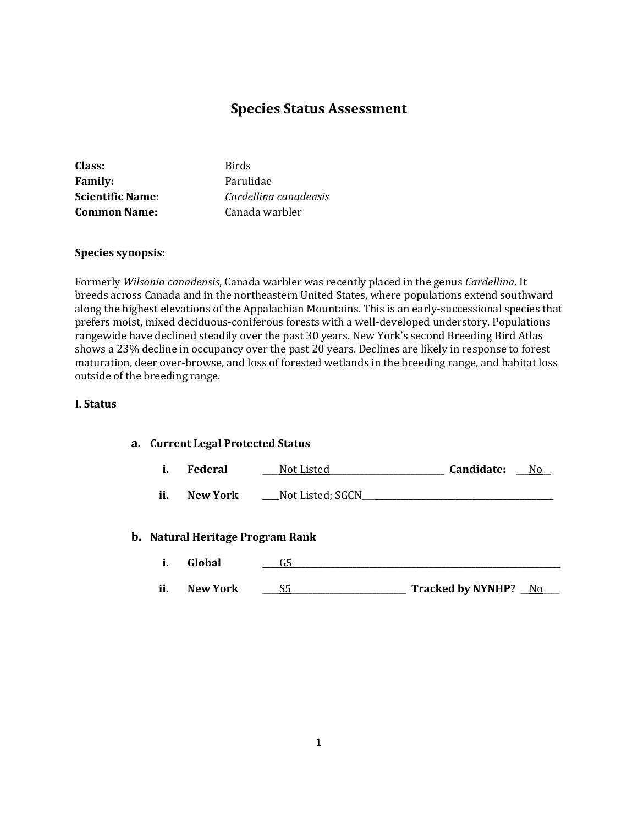# **Species Status Assessment**

| Class:                  | <b>Birds</b>          |
|-------------------------|-----------------------|
| <b>Family:</b>          | Parulidae             |
| <b>Scientific Name:</b> | Cardellina canadensis |
| <b>Common Name:</b>     | Canada warbler        |

### **Species synopsis:**

Formerly *Wilsonia canadensis*, Canada warbler was recently placed in the genus *Cardellina*. It breeds across Canada and in the northeastern United States, where populations extend southward along the highest elevations of the Appalachian Mountains. This is an early-successional species that prefers moist, mixed deciduous-coniferous forests with a well-developed understory. Populations rangewide have declined steadily over the past 30 years. New York's second Breeding Bird Atlas shows a 23% decline in occupancy over the past 20 years. Declines are likely in response to forest maturation, deer over-browse, and loss of forested wetlands in the breeding range, and habitat loss outside of the breeding range.

### **I. Status**

### **a. Current Legal Protected Status**

| л. | Federal | Not Listed | Candidate: |  |
|----|---------|------------|------------|--|
|----|---------|------------|------------|--|

**ii. New York** \_\_\_\_Not Listed; SGCN

### **b. Natural Heritage Program Rank**

- **i. Global \_\_\_\_**G5**\_\_\_\_\_\_\_\_\_\_\_\_\_\_\_\_\_\_\_\_\_\_\_\_\_\_\_\_\_\_\_\_\_\_\_\_\_\_\_\_\_\_\_\_\_\_\_\_\_\_\_\_\_\_\_\_\_\_\_\_\_\_\_**
- **ii. New York \_\_\_\_**S5**\_\_\_\_\_\_\_\_\_\_\_\_\_\_\_\_\_\_\_\_\_\_\_\_\_\_\_ Tracked by NYNHP? \_\_**No\_\_\_\_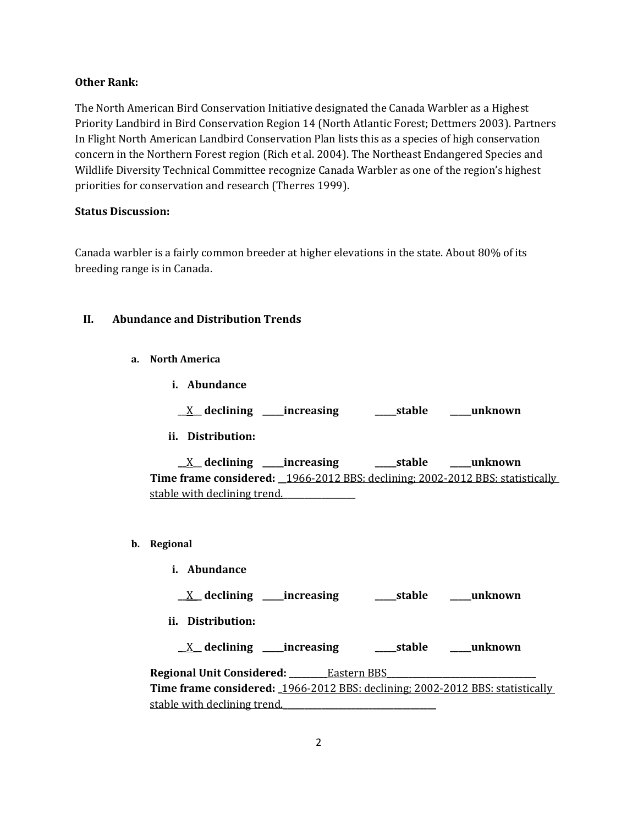### **Other Rank:**

The North American Bird Conservation Initiative designated the Canada Warbler as a Highest Priority Landbird in Bird Conservation Region 14 (North Atlantic Forest; Dettmers 2003). Partners In Flight North American Landbird Conservation Plan lists this as a species of high conservation concern in the Northern Forest region (Rich et al. 2004). The Northeast Endangered Species and Wildlife Diversity Technical Committee recognize Canada Warbler as one of the region's highest priorities for conservation and research (Therres 1999).

### **Status Discussion:**

Canada warbler is a fairly common breeder at higher elevations in the state. About 80% of its breeding range is in Canada.

### **II. Abundance and Distribution Trends**

- **a. North America**
	- **i. Abundance**
		- \_\_X\_\_ **declining \_\_\_\_\_increasing \_\_\_\_\_stable \_\_\_\_\_unknown**
	- **ii. Distribution:**

**\_\_**X\_\_ **declining \_\_\_\_\_increasing \_\_\_\_\_stable \_\_\_\_\_unknown Time frame considered: \_\_**1966-2012 BBS: declining; 2002-2012 BBS: statistically stable with declining trend.**\_\_\_\_\_\_\_\_\_\_\_\_\_\_\_\_\_**

- **b. Regional** 
	- **i. Abundance**

**\_\_**X**\_\_ declining \_\_\_\_\_increasing \_\_\_\_\_stable \_\_\_\_\_unknown**

**ii. Distribution:**

**\_**\_X**\_\_ declining \_\_\_\_\_increasing \_\_\_\_\_stable \_\_\_\_\_unknown**

**Regional Unit Considered: \_\_\_\_\_\_\_\_\_**Eastern BBS**\_\_\_\_\_\_\_\_\_\_\_\_\_\_\_\_\_\_\_\_\_\_\_\_\_\_\_\_\_\_\_\_\_\_\_ Time frame considered: \_**1966-2012 BBS: declining; 2002-2012 BBS: statistically stable with declining trend.**\_\_\_\_\_\_\_\_\_\_\_\_\_\_\_\_\_\_\_\_\_\_\_\_\_\_\_\_\_\_\_\_\_\_\_\_**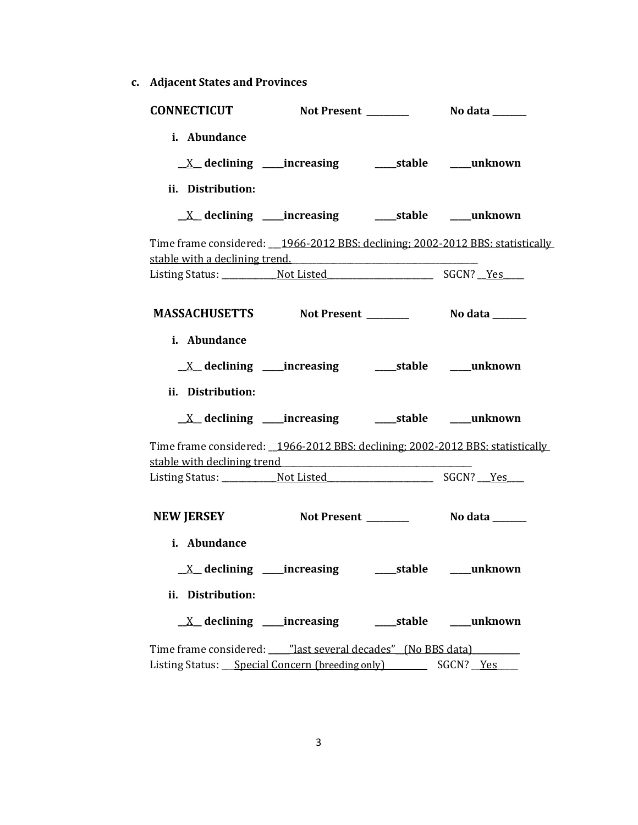**c. Adjacent States and Provinces**

| <b>CONNECTICUT</b>                                               |                                                                          |                                                                                 |
|------------------------------------------------------------------|--------------------------------------------------------------------------|---------------------------------------------------------------------------------|
| i. Abundance<br>ii. Distribution:                                |                                                                          |                                                                                 |
|                                                                  | $\underline{X}$ declining ____increasing ___________stable ______unknown |                                                                                 |
| stable with a declining trend.                                   |                                                                          | Time frame considered: __1966-2012 BBS: declining; 2002-2012 BBS: statistically |
|                                                                  |                                                                          |                                                                                 |
| MASSACHUSETTS Not Present __________ No data ______              |                                                                          |                                                                                 |
| i. Abundance                                                     |                                                                          |                                                                                 |
| ii. Distribution:                                                |                                                                          |                                                                                 |
|                                                                  |                                                                          |                                                                                 |
|                                                                  |                                                                          | Time frame considered: _1966-2012 BBS: declining; 2002-2012 BBS: statistically  |
|                                                                  |                                                                          |                                                                                 |
| <b>NEW JERSEY</b>                                                | Not Present _______                                                      | No data _______                                                                 |
| i. Abundance                                                     |                                                                          |                                                                                 |
| $\underline{X}$ declining ____increasing                         |                                                                          | ____stable _____unknown                                                         |
| ii. Distribution:                                                |                                                                          |                                                                                 |
|                                                                  | $\underline{X}$ declining ____increasing __________stable ______unknown  |                                                                                 |
| Time frame considered: ____ "last several decades" (No BBS data) |                                                                          |                                                                                 |
| Listing Status: Special Concern (breeding only) SGCN? Yes        |                                                                          |                                                                                 |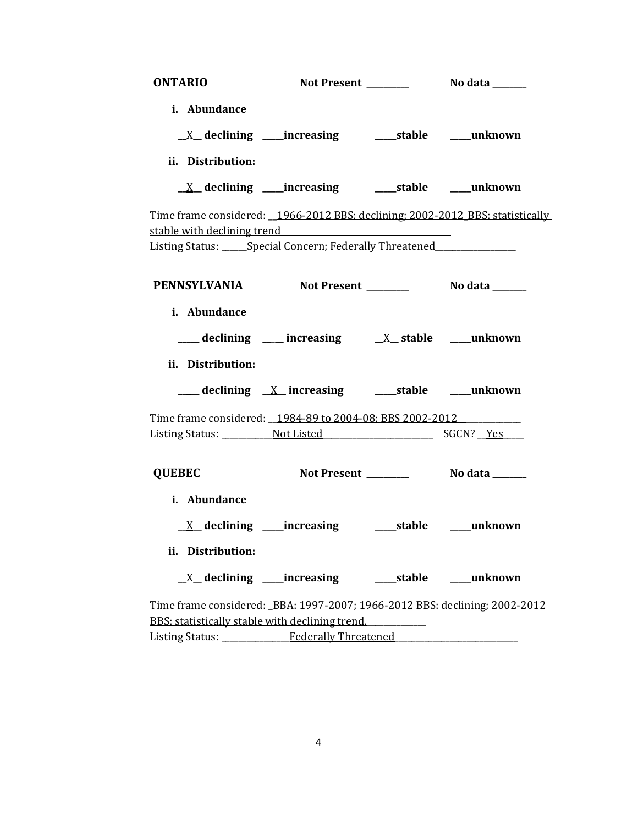| <b>ONTARIO</b>    |                                                                                                                                                                                                                                             |            |            |
|-------------------|---------------------------------------------------------------------------------------------------------------------------------------------------------------------------------------------------------------------------------------------|------------|------------|
| i. Abundance      |                                                                                                                                                                                                                                             |            |            |
|                   | $\underline{X}$ declining ____increasing _______stable _____unknown                                                                                                                                                                         |            |            |
| ii. Distribution: |                                                                                                                                                                                                                                             |            |            |
|                   |                                                                                                                                                                                                                                             |            |            |
|                   | Time frame considered: _1966-2012 BBS: declining: 2002-2012 BBS: statistically<br>stable with declining trend<br>expansion of the stable with declining trend<br>Listing Status: _____ Special Concern; Federally Threatened ______________ |            |            |
|                   | PENNSYLVANIA Not Present No data ______                                                                                                                                                                                                     |            |            |
| i. Abundance      |                                                                                                                                                                                                                                             |            |            |
|                   | $\frac{1}{\sqrt{2}}$ declining $\frac{1}{\sqrt{2}}$ increasing $\frac{1}{\sqrt{2}}$ stable $\frac{1}{\sqrt{2}}$ unknown                                                                                                                     |            |            |
| ii. Distribution: |                                                                                                                                                                                                                                             |            |            |
|                   | ___ declining <u>X</u> _increasing _____stable ____unknown                                                                                                                                                                                  |            |            |
|                   | Time frame considered: _1984-89 to 2004-08; BBS 2002-2012                                                                                                                                                                                   |            |            |
|                   |                                                                                                                                                                                                                                             |            |            |
| <b>QUEBEC</b>     |                                                                                                                                                                                                                                             |            |            |
| i. Abundance      |                                                                                                                                                                                                                                             |            |            |
|                   |                                                                                                                                                                                                                                             |            |            |
| ii. Distribution: |                                                                                                                                                                                                                                             |            |            |
|                   | $X$ declining _____increasing                                                                                                                                                                                                               | ____stable | ___unknown |
|                   | Time frame considered: BBA: 1997-2007; 1966-2012 BBS: declining; 2002-2012                                                                                                                                                                  |            |            |
|                   | BBS: statistically stable with declining trend.                                                                                                                                                                                             |            |            |
|                   | Listing Status: Federally Threatened                                                                                                                                                                                                        |            |            |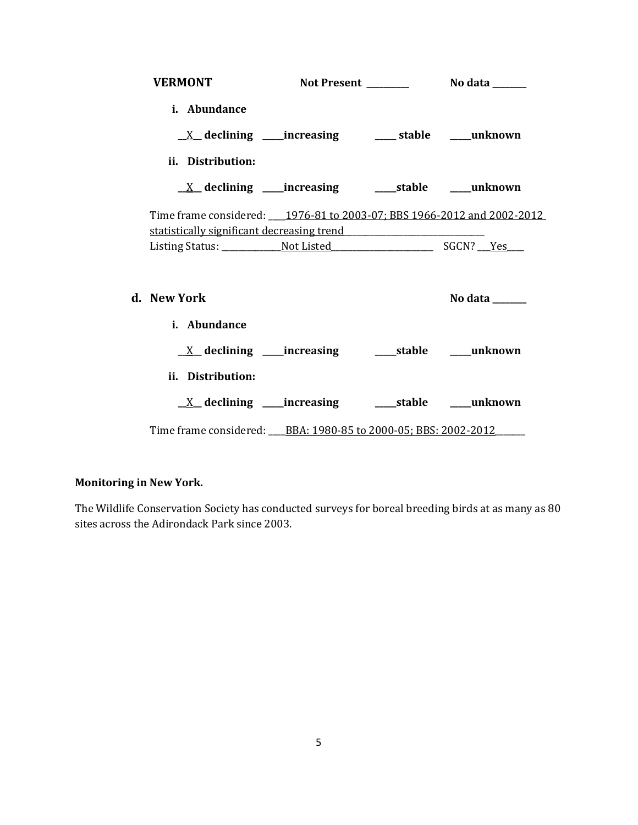| <b>VERMONT</b>                                                                                                       |                                                                            |                                     |  |
|----------------------------------------------------------------------------------------------------------------------|----------------------------------------------------------------------------|-------------------------------------|--|
| i. Abundance                                                                                                         |                                                                            |                                     |  |
|                                                                                                                      | $\underline{X}$ declining ____increasing ____________stable _______unknown |                                     |  |
| ii. Distribution:                                                                                                    |                                                                            |                                     |  |
|                                                                                                                      | $\underline{X}$ declining ____increasing _________stable ______unknown     |                                     |  |
| Time frame considered: 1976-81 to 2003-07; BBS 1966-2012 and 2002-2012<br>statistically significant decreasing trend |                                                                            |                                     |  |
|                                                                                                                      |                                                                            |                                     |  |
| d. New York                                                                                                          |                                                                            | No data $\_\_\_\_\_\_\_\_\_\_\_\_\$ |  |
| i. Abundance                                                                                                         |                                                                            |                                     |  |
|                                                                                                                      |                                                                            |                                     |  |
| ii. Distribution:                                                                                                    |                                                                            |                                     |  |
|                                                                                                                      |                                                                            |                                     |  |
| Time frame considered: BBA: 1980-85 to 2000-05; BBS: 2002-2012                                                       |                                                                            |                                     |  |

# **Monitoring in New York.**

The Wildlife Conservation Society has conducted surveys for boreal breeding birds at as many as 80 sites across the Adirondack Park since 2003.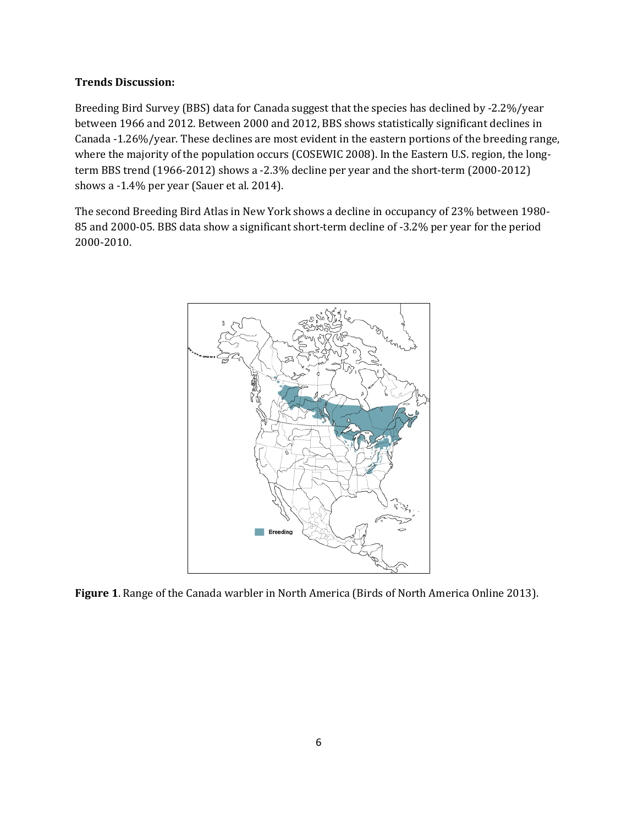## **Trends Discussion:**

Breeding Bird Survey (BBS) data for Canada suggest that the species has declined by -2.2%/year between 1966 and 2012. Between 2000 and 2012, BBS shows statistically significant declines in Canada -1.26%/year. These declines are most evident in the eastern portions of the breeding range, where the majority of the population occurs (COSEWIC 2008). In the Eastern U.S. region, the longterm BBS trend (1966-2012) shows a -2.3% decline per year and the short-term (2000-2012) shows a -1.4% per year (Sauer et al. 2014).

The second Breeding Bird Atlas in New York shows a decline in occupancy of 23% between 1980- 85 and 2000-05. BBS data show a significant short-term decline of -3.2% per year for the period 2000-2010.



**Figure 1**. Range of the Canada warbler in North America (Birds of North America Online 2013).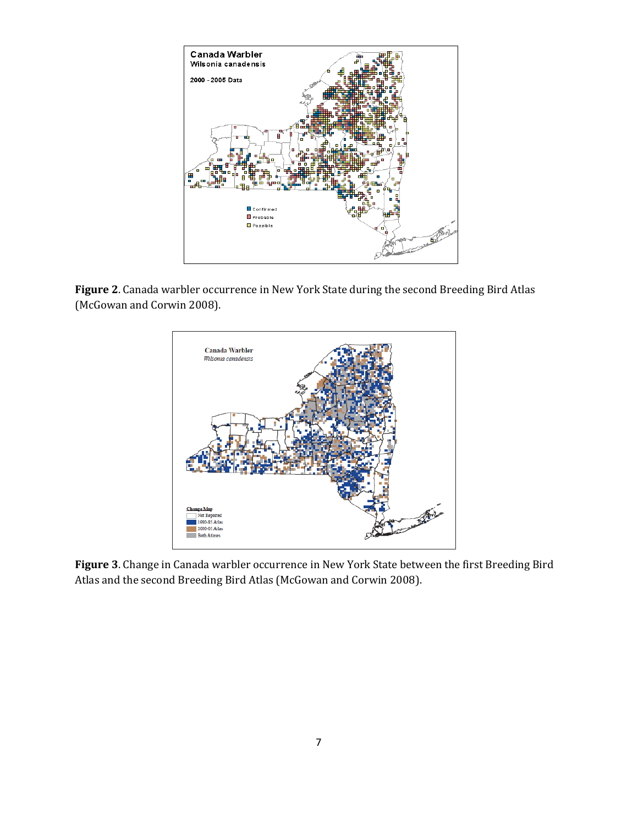

**Figure 2**. Canada warbler occurrence in New York State during the second Breeding Bird Atlas (McGowan and Corwin 2008).



**Figure 3**. Change in Canada warbler occurrence in New York State between the first Breeding Bird Atlas and the second Breeding Bird Atlas (McGowan and Corwin 2008).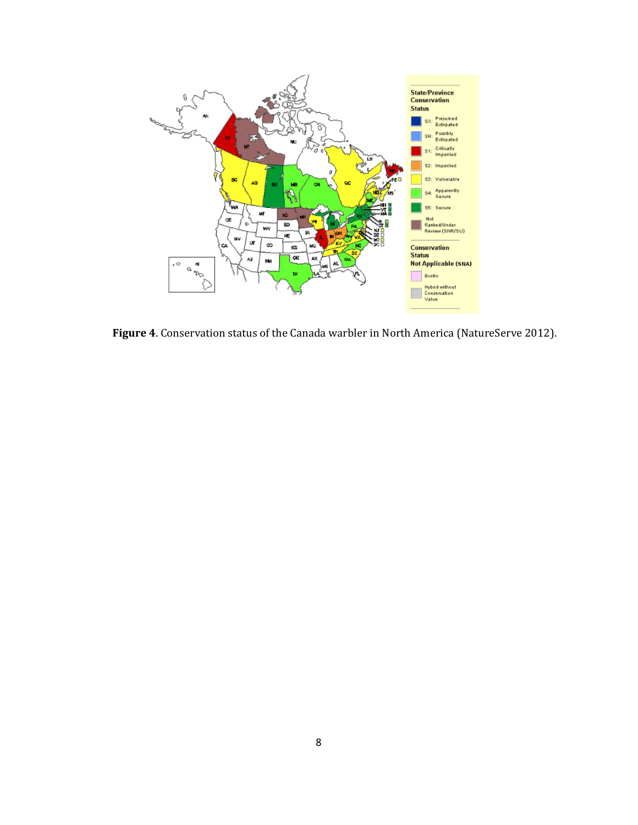

**Figure 4**. Conservation status of the Canada warbler in North America (NatureServe 2012).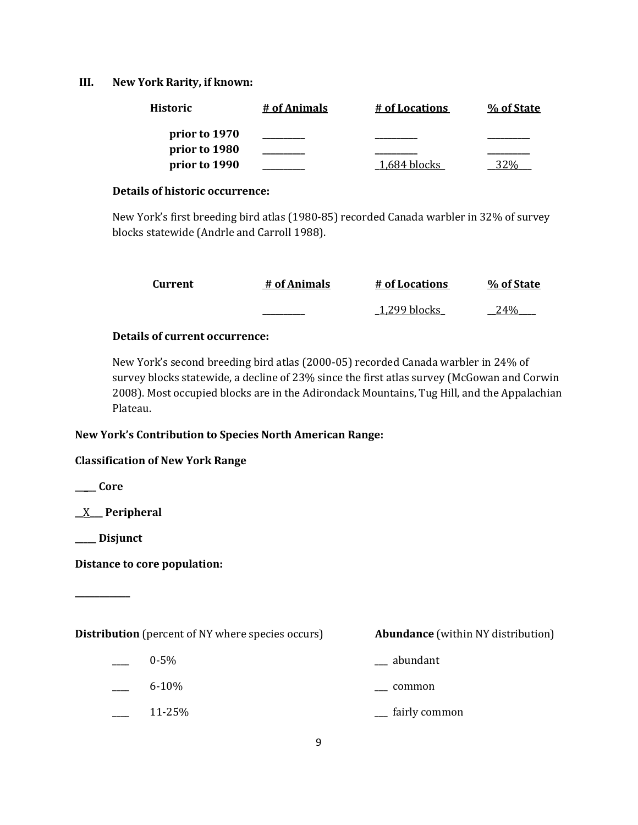### **III. New York Rarity, if known:**

| <b>Historic</b> | # of Animals | # of Locations  | % of State |
|-----------------|--------------|-----------------|------------|
| prior to 1970   |              |                 |            |
| prior to 1980   |              |                 |            |
| prior to 1990   |              | $-1,684$ blocks |            |

#### **Details of historic occurrence:**

New York's first breeding bird atlas (1980-85) recorded Canada warbler in 32% of survey blocks statewide (Andrle and Carroll 1988).

| Current | # of Animals | # of Locations | % of State |
|---------|--------------|----------------|------------|
|         |              | 1,299 blocks   | 24%        |

## **Details of current occurrence:**

New York's second breeding bird atlas (2000-05) recorded Canada warbler in 24% of survey blocks statewide, a decline of 23% since the first atlas survey (McGowan and Corwin 2008). Most occupied blocks are in the Adirondack Mountains, Tug Hill, and the Appalachian Plateau.

### **New York's Contribution to Species North American Range:**

### **Classification of New York Range**

**\_\_\_\_\_ Core**

**\_\_**X**\_\_\_ Peripheral**

**\_\_\_\_\_ Disjunct**

**\_\_\_\_\_\_\_\_\_\_\_**

**Distance to core population:**

**Distribution** (percent of NY where species occurs) **Abundance** (within NY distribution)

- 
- $0.5\%$  abundant
- \_\_\_\_ 6-10% \_\_\_ common
- 
- \_\_\_\_ 11-25% \_\_\_ fairly common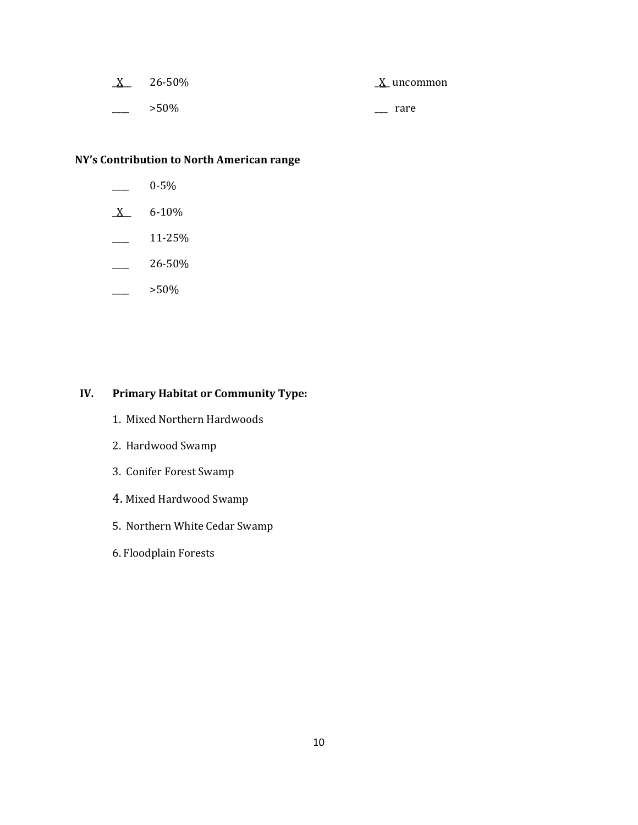| $\underline{X}$ | 26-50%  | X uncommon |  |
|-----------------|---------|------------|--|
|                 | $>50\%$ | rare       |  |

# **NY's Contribution to North American range**

- \_\_\_\_ 0-5%
- $X$  6-10%
- $\frac{11-25}{%}$
- $-26-50%$
- $-$  >50%

# **IV. Primary Habitat or Community Type:**

- 1. Mixed Northern Hardwoods
- 2. Hardwood Swamp
- 3. Conifer Forest Swamp
- 4. Mixed Hardwood Swamp
- 5. Northern White Cedar Swamp
- 6. Floodplain Forests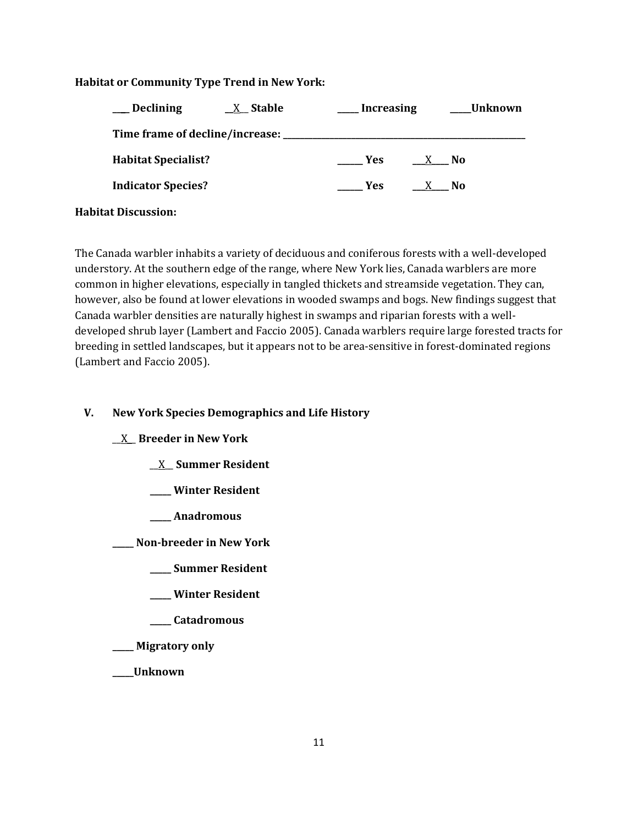## **Habitat or Community Type Trend in New York:**

| _Declining                 | $X$ Stable | <b>Increasing</b> |                           | Unknown   |
|----------------------------|------------|-------------------|---------------------------|-----------|
|                            |            |                   |                           |           |
| <b>Habitat Specialist?</b> |            | <b>Yes</b>        | X No                      |           |
| <b>Indicator Species?</b>  |            | <b>Yes</b>        | $\frac{\lambda}{\lambda}$ | <b>No</b> |
| <b>Habitat Discussion:</b> |            |                   |                           |           |

The Canada warbler inhabits a variety of deciduous and coniferous forests with a well-developed understory. At the southern edge of the range, where New York lies, Canada warblers are more common in higher elevations, especially in tangled thickets and streamside vegetation. They can, however, also be found at lower elevations in wooded swamps and bogs. New findings suggest that Canada warbler densities are naturally highest in swamps and riparian forests with a welldeveloped shrub layer (Lambert and Faccio 2005). Canada warblers require large forested tracts for breeding in settled landscapes, but it appears not to be area-sensitive in forest-dominated regions (Lambert and Faccio 2005).

# **V. New York Species Demographics and Life History**

### \_\_X\_\_ **Breeder in New York**

- \_\_X\_\_ **Summer Resident**
- **\_\_\_\_\_ Winter Resident**
- **\_\_\_\_\_ Anadromous**

**\_\_\_\_\_ Non-breeder in New York**

- **\_\_\_\_\_ Summer Resident**
- **\_\_\_\_\_ Winter Resident**
- **\_\_\_\_\_ Catadromous**
- **\_\_\_\_\_ Migratory only**
- **\_\_\_\_\_Unknown**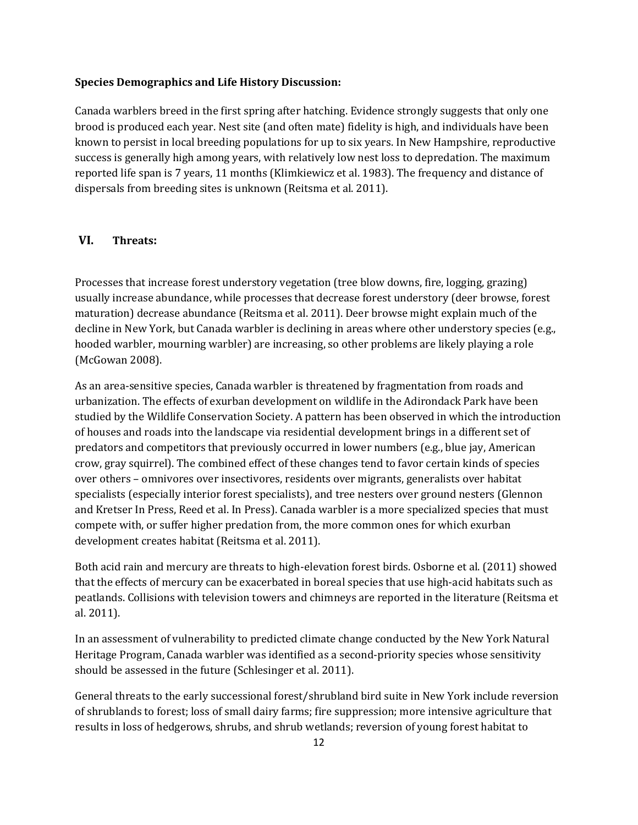#### **Species Demographics and Life History Discussion:**

Canada warblers breed in the first spring after hatching. Evidence strongly suggests that only one brood is produced each year. Nest site (and often mate) fidelity is high, and individuals have been known to persist in local breeding populations for up to six years. In New Hampshire, reproductive success is generally high among years, with relatively low nest loss to depredation. The maximum reported life span is 7 years, 11 months (Klimkiewicz et al. 1983). The frequency and distance of dispersals from breeding sites is unknown (Reitsma et al. 2011).

# **VI. Threats:**

Processes that increase forest understory vegetation (tree blow downs, fire, logging, grazing) usually increase abundance, while processes that decrease forest understory (deer browse, forest maturation) decrease abundance (Reitsma et al. 2011). Deer browse might explain much of the decline in New York, but Canada warbler is declining in areas where other understory species (e.g., hooded warbler, mourning warbler) are increasing, so other problems are likely playing a role (McGowan 2008).

As an area-sensitive species, Canada warbler is threatened by fragmentation from roads and urbanization. The effects of exurban development on wildlife in the Adirondack Park have been studied by the Wildlife Conservation Society. A pattern has been observed in which the introduction of houses and roads into the landscape via residential development brings in a different set of predators and competitors that previously occurred in lower numbers (e.g., blue jay, American crow, gray squirrel). The combined effect of these changes tend to favor certain kinds of species over others – omnivores over insectivores, residents over migrants, generalists over habitat specialists (especially interior forest specialists), and tree nesters over ground nesters (Glennon and Kretser In Press, Reed et al. In Press). Canada warbler is a more specialized species that must compete with, or suffer higher predation from, the more common ones for which exurban development creates habitat (Reitsma et al. 2011).

Both acid rain and mercury are threats to high-elevation forest birds. Osborne et al. (2011) showed that the effects of mercury can be exacerbated in boreal species that use high-acid habitats such as peatlands. Collisions with television towers and chimneys are reported in the literature (Reitsma et al. 2011).

In an assessment of vulnerability to predicted climate change conducted by the New York Natural Heritage Program, Canada warbler was identified as a second-priority species whose sensitivity should be assessed in the future (Schlesinger et al. 2011).

General threats to the early successional forest/shrubland bird suite in New York include reversion of shrublands to forest; loss of small dairy farms; fire suppression; more intensive agriculture that results in loss of hedgerows, shrubs, and shrub wetlands; reversion of young forest habitat to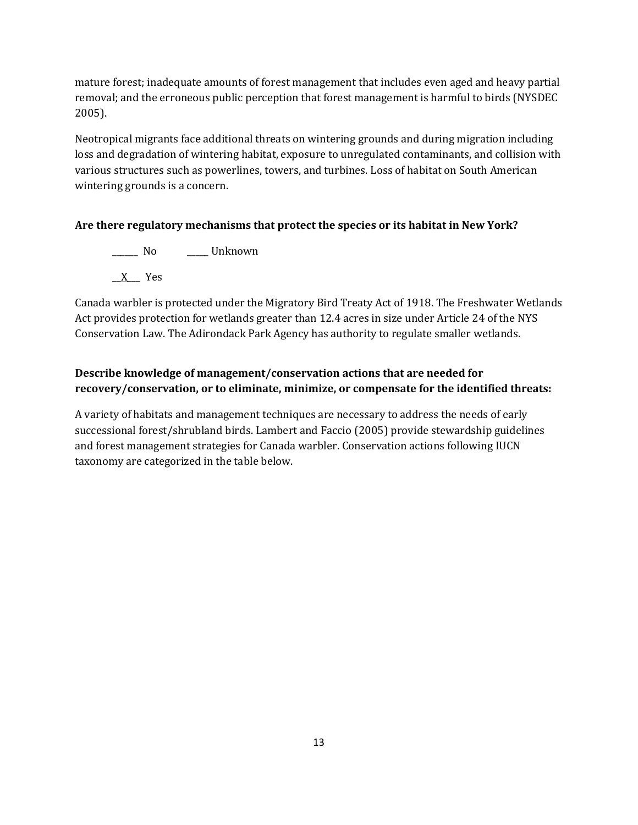mature forest; inadequate amounts of forest management that includes even aged and heavy partial removal; and the erroneous public perception that forest management is harmful to birds (NYSDEC 2005).

Neotropical migrants face additional threats on wintering grounds and during migration including loss and degradation of wintering habitat, exposure to unregulated contaminants, and collision with various structures such as powerlines, towers, and turbines. Loss of habitat on South American wintering grounds is a concern.

## **Are there regulatory mechanisms that protect the species or its habitat in New York?**

\_\_\_\_\_\_ No \_\_\_\_\_ Unknown \_\_X\_\_\_ Yes

Canada warbler is protected under the Migratory Bird Treaty Act of 1918. The Freshwater Wetlands Act provides protection for wetlands greater than 12.4 acres in size under Article 24 of the NYS Conservation Law. The Adirondack Park Agency has authority to regulate smaller wetlands.

# **Describe knowledge of management/conservation actions that are needed for recovery/conservation, or to eliminate, minimize, or compensate for the identified threats:**

A variety of habitats and management techniques are necessary to address the needs of early successional forest/shrubland birds. Lambert and Faccio (2005) provide stewardship guidelines and forest management strategies for Canada warbler. Conservation actions following IUCN taxonomy are categorized in the table below.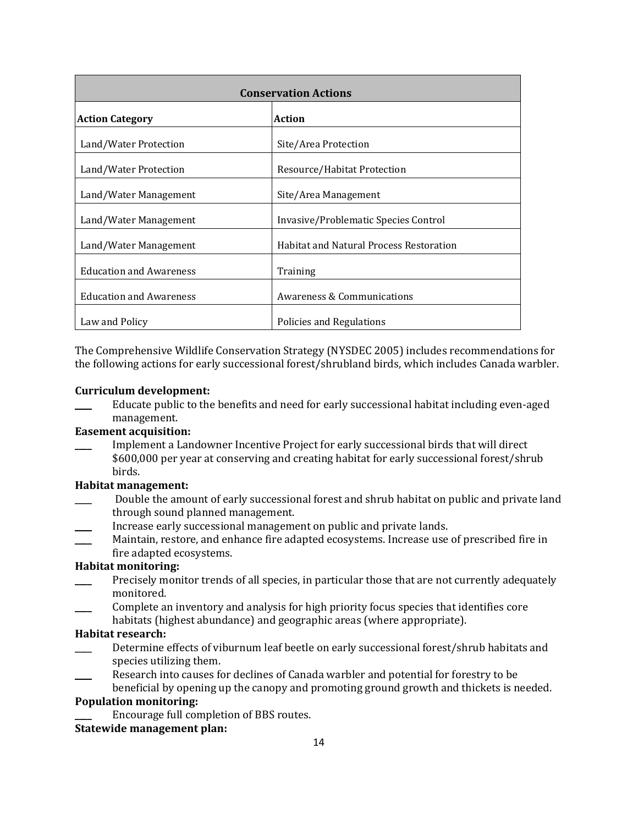| <b>Conservation Actions</b>    |                                                |  |
|--------------------------------|------------------------------------------------|--|
| <b>Action Category</b>         | <b>Action</b>                                  |  |
| Land/Water Protection          | Site/Area Protection                           |  |
| Land/Water Protection          | Resource/Habitat Protection                    |  |
| Land/Water Management          | Site/Area Management                           |  |
| Land/Water Management          | Invasive/Problematic Species Control           |  |
| Land/Water Management          | <b>Habitat and Natural Process Restoration</b> |  |
| <b>Education and Awareness</b> | Training                                       |  |
| <b>Education and Awareness</b> | Awareness & Communications                     |  |
| Law and Policy                 | Policies and Regulations                       |  |

The Comprehensive Wildlife Conservation Strategy (NYSDEC 2005) includes recommendations for the following actions for early successional forest/shrubland birds, which includes Canada warbler.

### **Curriculum development:**

\_\_\_\_ Educate public to the benefits and need for early successional habitat including even-aged management.

### **Easement acquisition:**

\_\_\_\_ Implement a Landowner Incentive Project for early successional birds that will direct \$600,000 per year at conserving and creating habitat for early successional forest/shrub birds.

### **Habitat management:**

- \_\_\_\_ Double the amount of early successional forest and shrub habitat on public and private land through sound planned management.
- Increase early successional management on public and private lands.
- Maintain, restore, and enhance fire adapted ecosystems. Increase use of prescribed fire in fire adapted ecosystems.

# **Habitat monitoring:**

- Precisely monitor trends of all species, in particular those that are not currently adequately monitored.
- \_\_\_\_ Complete an inventory and analysis for high priority focus species that identifies core habitats (highest abundance) and geographic areas (where appropriate).

### **Habitat research:**

- Determine effects of viburnum leaf beetle on early successional forest/shrub habitats and species utilizing them.
- \_\_\_\_ Research into causes for declines of Canada warbler and potential for forestry to be beneficial by opening up the canopy and promoting ground growth and thickets is needed.

# **Population monitoring:**

Encourage full completion of BBS routes.

### **Statewide management plan:**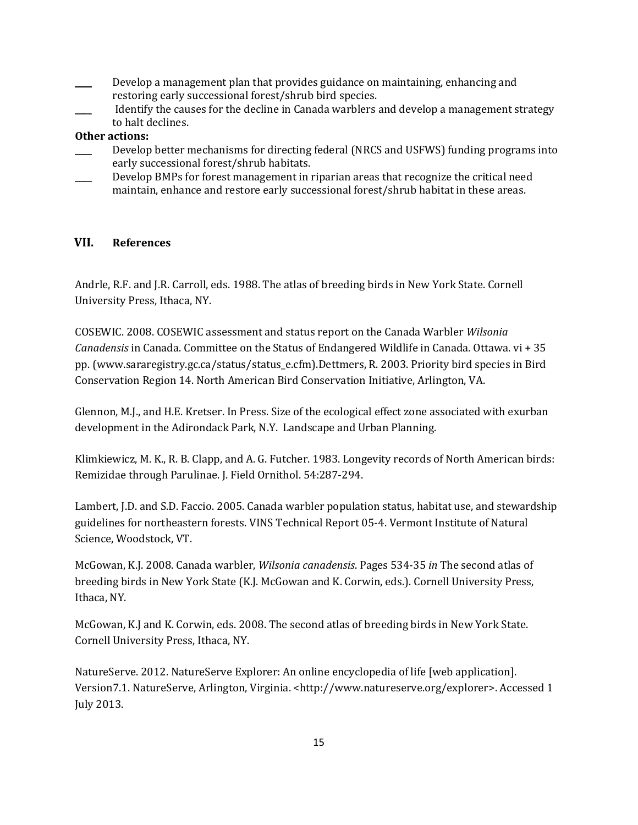- Develop a management plan that provides guidance on maintaining, enhancing and restoring early successional forest/shrub bird species.
- Identify the causes for the decline in Canada warblers and develop a management strategy to halt declines.

### **Other actions:**

- Develop better mechanisms for directing federal (NRCS and USFWS) funding programs into early successional forest/shrub habitats.
- Develop BMPs for forest management in riparian areas that recognize the critical need maintain, enhance and restore early successional forest/shrub habitat in these areas.

### **VII. References**

Andrle, R.F. and J.R. Carroll, eds. 1988. The atlas of breeding birds in New York State. Cornell University Press, Ithaca, NY.

COSEWIC. 2008. COSEWIC assessment and status report on the Canada Warbler *Wilsonia Canadensis* in Canada. Committee on the Status of Endangered Wildlife in Canada. Ottawa. vi + 35 pp. (www.sararegistry.gc.ca/status/status\_e.cfm).Dettmers, R. 2003. Priority bird species in Bird Conservation Region 14. North American Bird Conservation Initiative, Arlington, VA.

Glennon, M.J., and H.E. Kretser. In Press. Size of the ecological effect zone associated with exurban development in the Adirondack Park, N.Y. Landscape and Urban Planning.

Klimkiewicz, M. K., R. B. Clapp, and A. G. Futcher. 1983. Longevity records of North American birds: Remizidae through Parulinae. J. Field Ornithol. 54:287-294.

Lambert, J.D. and S.D. Faccio. 2005. Canada warbler population status, habitat use, and stewardship guidelines for northeastern forests. VINS Technical Report 05-4. Vermont Institute of Natural Science, Woodstock, VT.

McGowan, K.J. 2008. Canada warbler, *Wilsonia canadensis*. Pages 534-35 *in* The second atlas of breeding birds in New York State (K.J. McGowan and K. Corwin, eds.). Cornell University Press, Ithaca, NY.

McGowan, K.J and K. Corwin, eds. 2008. The second atlas of breeding birds in New York State. Cornell University Press, Ithaca, NY.

NatureServe. 2012. NatureServe Explorer: An online encyclopedia of life [web application]. Version7.1. NatureServe, Arlington, Virginia. <http://www.natureserve.org/explorer>. Accessed 1 July 2013.